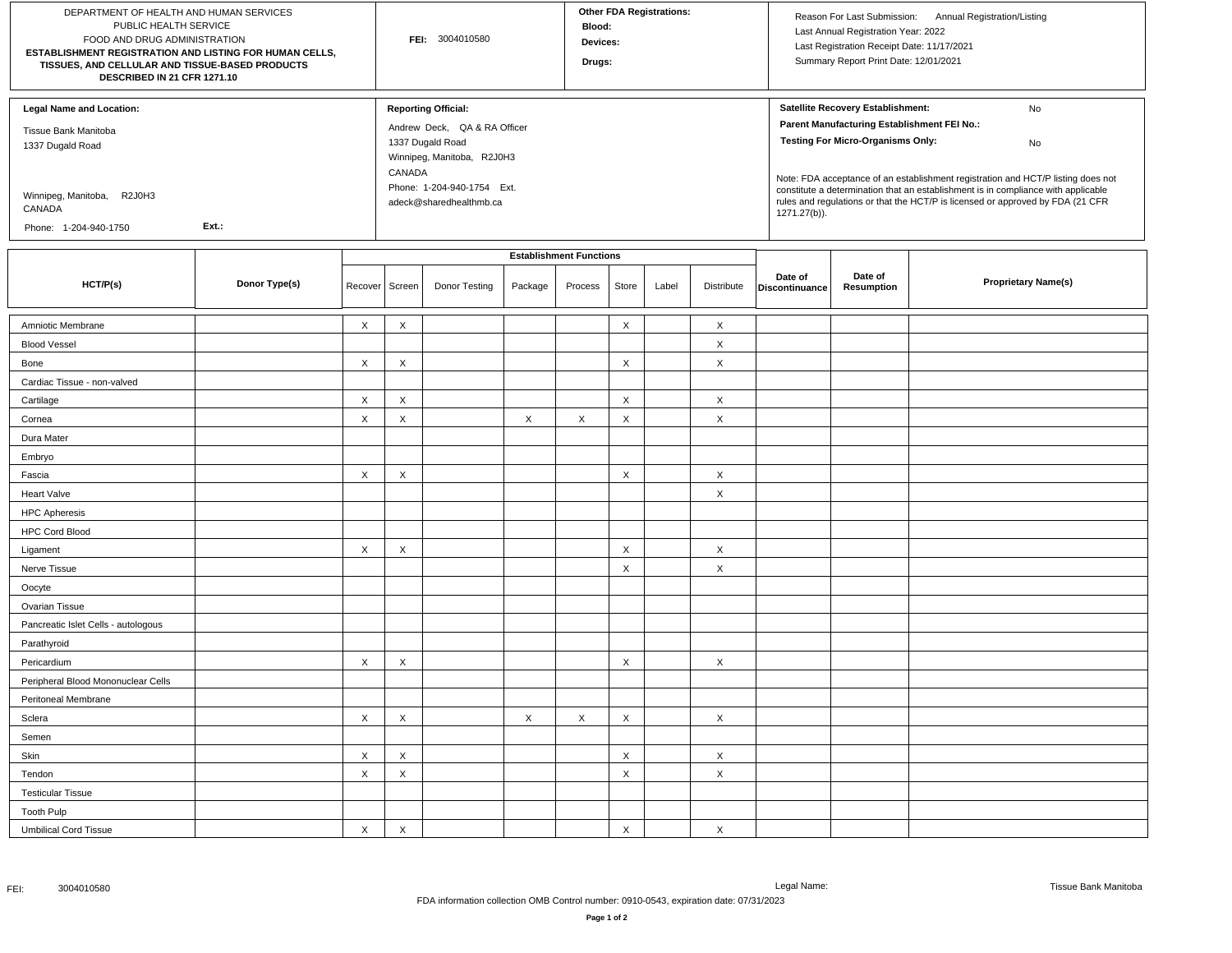| DEPARTMENT OF HEALTH AND HUMAN SERVICES<br>PUBLIC HEALTH SERVICE<br>FOOD AND DRUG ADMINISTRATION<br>ESTABLISHMENT REGISTRATION AND LISTING FOR HUMAN CELLS,<br>TISSUES, AND CELLULAR AND TISSUE-BASED PRODUCTS<br>DESCRIBED IN 21 CFR 1271.10 |               |                           | FEI: 3004010580 |                                                                                                                                                                                 |         |                                           | <b>Other FDA Registrations:</b><br>Blood:<br>Devices:<br>Drugs: |       |                           |                                                                                                                                                                                                                                                                                                                                                                                                                     | Reason For Last Submission:<br>Annual Registration/Listing<br>Last Annual Registration Year: 2022<br>Last Registration Receipt Date: 11/17/2021<br>Summary Report Print Date: 12/01/2021 |                            |  |
|-----------------------------------------------------------------------------------------------------------------------------------------------------------------------------------------------------------------------------------------------|---------------|---------------------------|-----------------|---------------------------------------------------------------------------------------------------------------------------------------------------------------------------------|---------|-------------------------------------------|-----------------------------------------------------------------|-------|---------------------------|---------------------------------------------------------------------------------------------------------------------------------------------------------------------------------------------------------------------------------------------------------------------------------------------------------------------------------------------------------------------------------------------------------------------|------------------------------------------------------------------------------------------------------------------------------------------------------------------------------------------|----------------------------|--|
| <b>Legal Name and Location:</b><br>Tissue Bank Manitoba<br>1337 Dugald Road<br>Winnipeg, Manitoba, R2J0H3<br>CANADA<br>Ext.:<br>Phone: 1-204-940-1750                                                                                         |               |                           |                 | <b>Reporting Official:</b><br>Andrew Deck, QA & RA Officer<br>1337 Dugald Road<br>Winnipeg, Manitoba, R2J0H3<br>CANADA<br>Phone: 1-204-940-1754 Ext.<br>adeck@sharedhealthmb.ca |         |                                           |                                                                 |       |                           | Satellite Recovery Establishment:<br>No<br>Parent Manufacturing Establishment FEI No.:<br><b>Testing For Micro-Organisms Only:</b><br>No<br>Note: FDA acceptance of an establishment registration and HCT/P listing does not<br>constitute a determination that an establishment is in compliance with applicable<br>rules and regulations or that the HCT/P is licensed or approved by FDA (21 CFR<br>1271.27(b)). |                                                                                                                                                                                          |                            |  |
| HCT/P(s)                                                                                                                                                                                                                                      | Donor Type(s) | Recover Screen            |                 | Donor Testing                                                                                                                                                                   | Package | <b>Establishment Functions</b><br>Process | Store                                                           | Label | Distribute                | Date of<br>Discontinuance                                                                                                                                                                                                                                                                                                                                                                                           | Date of<br>Resumption                                                                                                                                                                    | <b>Proprietary Name(s)</b> |  |
|                                                                                                                                                                                                                                               |               |                           |                 |                                                                                                                                                                                 |         |                                           |                                                                 |       |                           |                                                                                                                                                                                                                                                                                                                                                                                                                     |                                                                                                                                                                                          |                            |  |
| Amniotic Membrane                                                                                                                                                                                                                             |               | X                         | $\times$        |                                                                                                                                                                                 |         |                                           | $\times$                                                        |       | $\times$                  |                                                                                                                                                                                                                                                                                                                                                                                                                     |                                                                                                                                                                                          |                            |  |
| <b>Blood Vessel</b>                                                                                                                                                                                                                           |               |                           |                 |                                                                                                                                                                                 |         |                                           |                                                                 |       | $\times$                  |                                                                                                                                                                                                                                                                                                                                                                                                                     |                                                                                                                                                                                          |                            |  |
| Bone                                                                                                                                                                                                                                          |               | X                         | $\times$        |                                                                                                                                                                                 |         |                                           | X                                                               |       | $\times$                  |                                                                                                                                                                                                                                                                                                                                                                                                                     |                                                                                                                                                                                          |                            |  |
| Cardiac Tissue - non-valved                                                                                                                                                                                                                   |               |                           |                 |                                                                                                                                                                                 |         |                                           |                                                                 |       |                           |                                                                                                                                                                                                                                                                                                                                                                                                                     |                                                                                                                                                                                          |                            |  |
| Cartilage                                                                                                                                                                                                                                     |               | $\times$                  | $\times$        |                                                                                                                                                                                 |         |                                           | X                                                               |       | $\boldsymbol{\mathsf{X}}$ |                                                                                                                                                                                                                                                                                                                                                                                                                     |                                                                                                                                                                                          |                            |  |
| Cornea                                                                                                                                                                                                                                        |               | $\mathsf X$               | $\times$        |                                                                                                                                                                                 | X       | X                                         | X                                                               |       | $\times$                  |                                                                                                                                                                                                                                                                                                                                                                                                                     |                                                                                                                                                                                          |                            |  |
| Dura Mater                                                                                                                                                                                                                                    |               |                           |                 |                                                                                                                                                                                 |         |                                           |                                                                 |       |                           |                                                                                                                                                                                                                                                                                                                                                                                                                     |                                                                                                                                                                                          |                            |  |
| Embryo                                                                                                                                                                                                                                        |               |                           |                 |                                                                                                                                                                                 |         |                                           |                                                                 |       |                           |                                                                                                                                                                                                                                                                                                                                                                                                                     |                                                                                                                                                                                          |                            |  |
| Fascia                                                                                                                                                                                                                                        |               | X                         | $\times$        |                                                                                                                                                                                 |         |                                           | X                                                               |       | $\times$                  |                                                                                                                                                                                                                                                                                                                                                                                                                     |                                                                                                                                                                                          |                            |  |
| <b>Heart Valve</b>                                                                                                                                                                                                                            |               |                           |                 |                                                                                                                                                                                 |         |                                           |                                                                 |       | $\times$                  |                                                                                                                                                                                                                                                                                                                                                                                                                     |                                                                                                                                                                                          |                            |  |
| <b>HPC Apheresis</b>                                                                                                                                                                                                                          |               |                           |                 |                                                                                                                                                                                 |         |                                           |                                                                 |       |                           |                                                                                                                                                                                                                                                                                                                                                                                                                     |                                                                                                                                                                                          |                            |  |
| <b>HPC Cord Blood</b>                                                                                                                                                                                                                         |               |                           |                 |                                                                                                                                                                                 |         |                                           |                                                                 |       |                           |                                                                                                                                                                                                                                                                                                                                                                                                                     |                                                                                                                                                                                          |                            |  |
| Ligament                                                                                                                                                                                                                                      |               | X                         | X               |                                                                                                                                                                                 |         |                                           | X                                                               |       | $\times$                  |                                                                                                                                                                                                                                                                                                                                                                                                                     |                                                                                                                                                                                          |                            |  |
| Nerve Tissue                                                                                                                                                                                                                                  |               |                           |                 |                                                                                                                                                                                 |         |                                           | X                                                               |       | $\times$                  |                                                                                                                                                                                                                                                                                                                                                                                                                     |                                                                                                                                                                                          |                            |  |
| Oocyte                                                                                                                                                                                                                                        |               |                           |                 |                                                                                                                                                                                 |         |                                           |                                                                 |       |                           |                                                                                                                                                                                                                                                                                                                                                                                                                     |                                                                                                                                                                                          |                            |  |
| Ovarian Tissue                                                                                                                                                                                                                                |               |                           |                 |                                                                                                                                                                                 |         |                                           |                                                                 |       |                           |                                                                                                                                                                                                                                                                                                                                                                                                                     |                                                                                                                                                                                          |                            |  |
| Pancreatic Islet Cells - autologous                                                                                                                                                                                                           |               |                           |                 |                                                                                                                                                                                 |         |                                           |                                                                 |       |                           |                                                                                                                                                                                                                                                                                                                                                                                                                     |                                                                                                                                                                                          |                            |  |
| Parathyroid                                                                                                                                                                                                                                   |               |                           |                 |                                                                                                                                                                                 |         |                                           |                                                                 |       |                           |                                                                                                                                                                                                                                                                                                                                                                                                                     |                                                                                                                                                                                          |                            |  |
| Pericardium                                                                                                                                                                                                                                   |               | X                         | X               |                                                                                                                                                                                 |         |                                           | X                                                               |       | $\times$                  |                                                                                                                                                                                                                                                                                                                                                                                                                     |                                                                                                                                                                                          |                            |  |
| Peripheral Blood Mononuclear Cells                                                                                                                                                                                                            |               |                           |                 |                                                                                                                                                                                 |         |                                           |                                                                 |       |                           |                                                                                                                                                                                                                                                                                                                                                                                                                     |                                                                                                                                                                                          |                            |  |
| Peritoneal Membrane                                                                                                                                                                                                                           |               |                           |                 |                                                                                                                                                                                 |         |                                           |                                                                 |       |                           |                                                                                                                                                                                                                                                                                                                                                                                                                     |                                                                                                                                                                                          |                            |  |
| Sclera                                                                                                                                                                                                                                        |               | X                         | X               |                                                                                                                                                                                 | X       | X                                         | Χ                                                               |       | $\times$                  |                                                                                                                                                                                                                                                                                                                                                                                                                     |                                                                                                                                                                                          |                            |  |
| Semen                                                                                                                                                                                                                                         |               |                           |                 |                                                                                                                                                                                 |         |                                           |                                                                 |       |                           |                                                                                                                                                                                                                                                                                                                                                                                                                     |                                                                                                                                                                                          |                            |  |
| Skin                                                                                                                                                                                                                                          |               | X                         | X               |                                                                                                                                                                                 |         |                                           | X                                                               |       | $\boldsymbol{\mathsf{X}}$ |                                                                                                                                                                                                                                                                                                                                                                                                                     |                                                                                                                                                                                          |                            |  |
| Tendon                                                                                                                                                                                                                                        |               | $\boldsymbol{\mathsf{X}}$ | X               |                                                                                                                                                                                 |         |                                           | Χ                                                               |       | $\times$                  |                                                                                                                                                                                                                                                                                                                                                                                                                     |                                                                                                                                                                                          |                            |  |
| <b>Testicular Tissue</b>                                                                                                                                                                                                                      |               |                           |                 |                                                                                                                                                                                 |         |                                           |                                                                 |       |                           |                                                                                                                                                                                                                                                                                                                                                                                                                     |                                                                                                                                                                                          |                            |  |
| <b>Tooth Pulp</b>                                                                                                                                                                                                                             |               |                           |                 |                                                                                                                                                                                 |         |                                           |                                                                 |       |                           |                                                                                                                                                                                                                                                                                                                                                                                                                     |                                                                                                                                                                                          |                            |  |
| <b>Umbilical Cord Tissue</b>                                                                                                                                                                                                                  |               | $\mathsf X$               | $\mathsf X$     |                                                                                                                                                                                 |         |                                           | X                                                               |       | $\times$                  |                                                                                                                                                                                                                                                                                                                                                                                                                     |                                                                                                                                                                                          |                            |  |